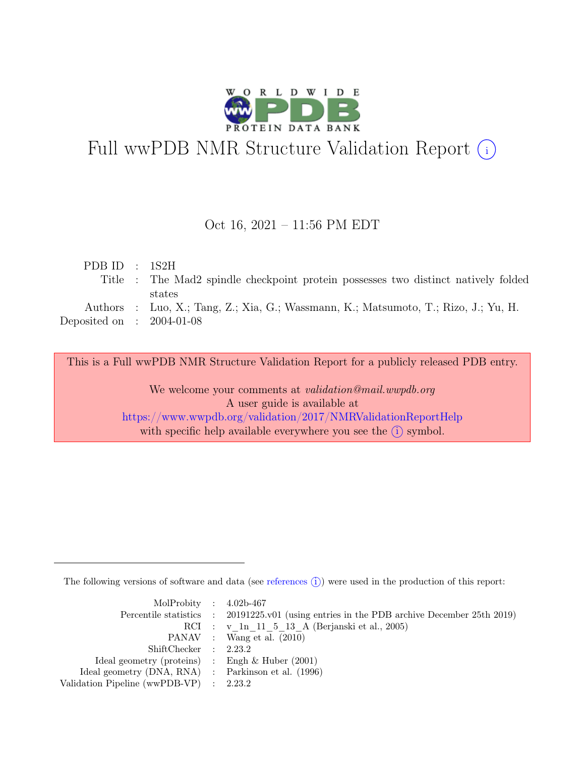

# Full wwPDB NMR Structure Validation Report (i)

### Oct 16, 2021 – 11:56 PM EDT

| PDB ID : $1S2H$             |                                                                                     |
|-----------------------------|-------------------------------------------------------------------------------------|
|                             | Title : The Mad2 spindle checkpoint protein possesses two distinct natively folded  |
|                             | states                                                                              |
|                             | Authors : Luo, X.; Tang, Z.; Xia, G.; Wassmann, K.; Matsumoto, T.; Rizo, J.; Yu, H. |
| Deposited on : $2004-01-08$ |                                                                                     |

This is a Full wwPDB NMR Structure Validation Report for a publicly released PDB entry.

We welcome your comments at *validation@mail.wwpdb.org* A user guide is available at <https://www.wwpdb.org/validation/2017/NMRValidationReportHelp> with specific help available everywhere you see the  $(i)$  symbol.

The following versions of software and data (see [references](https://www.wwpdb.org/validation/2017/NMRValidationReportHelp#references)  $\hat{I}$ ) were used in the production of this report:

| MolProbity : $4.02b-467$                            |                                                                                            |
|-----------------------------------------------------|--------------------------------------------------------------------------------------------|
|                                                     | Percentile statistics : 20191225.v01 (using entries in the PDB archive December 25th 2019) |
|                                                     | RCI : v 1n 11 5 13 A (Berjanski et al., 2005)                                              |
|                                                     | PANAV : Wang et al. (2010)                                                                 |
| ShiftChecker : 2.23.2                               |                                                                                            |
| Ideal geometry (proteins) : Engh $\&$ Huber (2001)  |                                                                                            |
| Ideal geometry (DNA, RNA) : Parkinson et al. (1996) |                                                                                            |
| Validation Pipeline (wwPDB-VP) : $2.23.2$           |                                                                                            |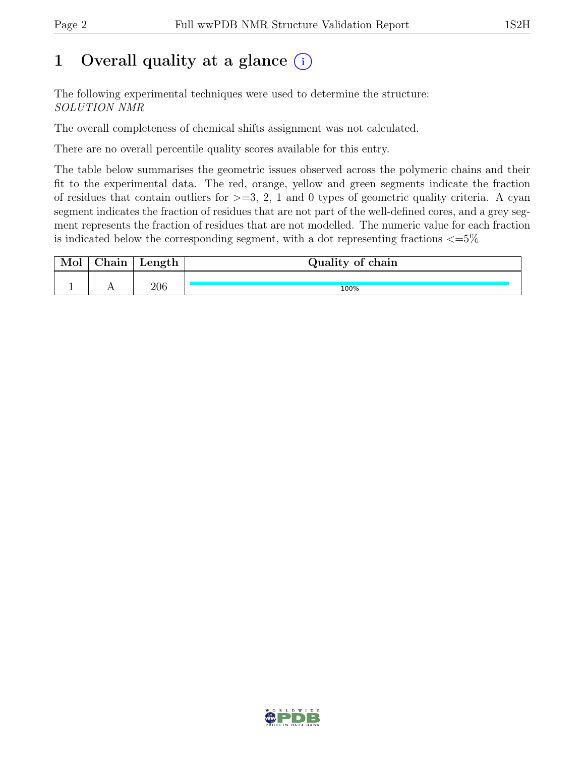## 1 Overall quality at a glance  $(i)$

The following experimental techniques were used to determine the structure: SOLUTION NMR

The overall completeness of chemical shifts assignment was not calculated.

There are no overall percentile quality scores available for this entry.

The table below summarises the geometric issues observed across the polymeric chains and their fit to the experimental data. The red, orange, yellow and green segments indicate the fraction of residues that contain outliers for  $\geq$ =3, 2, 1 and 0 types of geometric quality criteria. A cyan segment indicates the fraction of residues that are not part of the well-defined cores, and a grey segment represents the fraction of residues that are not modelled. The numeric value for each fraction is indicated below the corresponding segment, with a dot representing fractions  $\epsilon = 5\%$ 

| Mol | $\gamma$ hain | Length | Quality of chain |
|-----|---------------|--------|------------------|
|     |               |        |                  |
|     |               | 206    | 100%             |

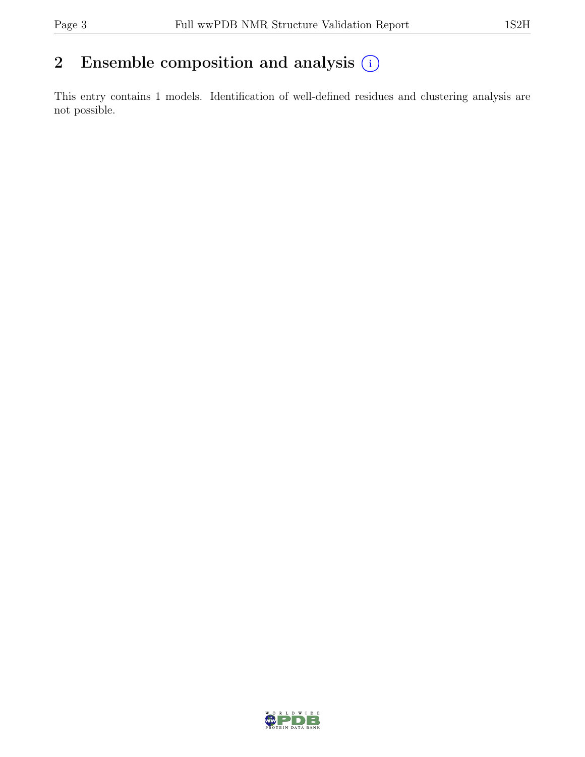## 2 Ensemble composition and analysis  $(i)$

This entry contains 1 models. Identification of well-defined residues and clustering analysis are not possible.

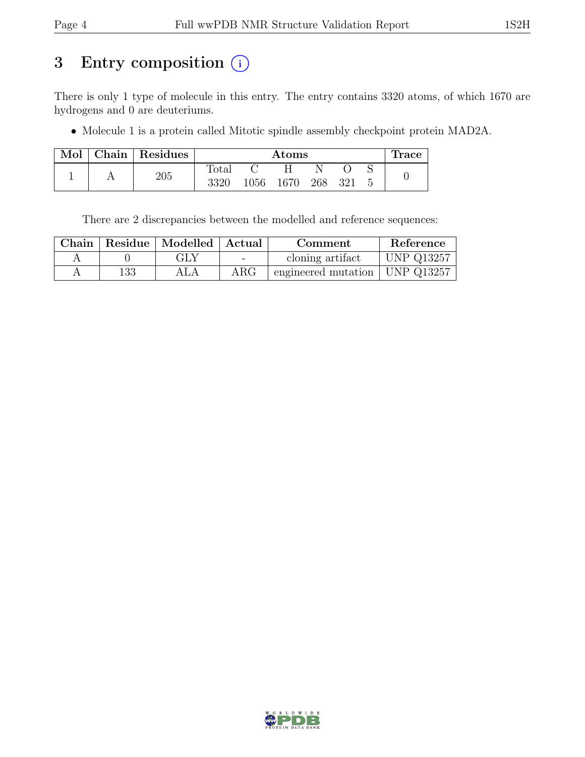## 3 Entry composition (i)

There is only 1 type of molecule in this entry. The entry contains 3320 atoms, of which 1670 are hydrogens and 0 are deuteriums.

• Molecule 1 is a protein called Mitotic spindle assembly checkpoint protein MAD2A.

| Mol | Chain | Residues | $\rm{Atoms}$   |      |      |     |     | ⊥race |  |
|-----|-------|----------|----------------|------|------|-----|-----|-------|--|
|     |       |          | $_{\rm Total}$ |      |      |     |     |       |  |
|     |       | 205      | 3320           | 1056 | 1670 | 268 | 321 |       |  |

There are 2 discrepancies between the modelled and reference sequences:

|     | Chain   Residue   Modelled   Actual |                          | Comment                            | Reference         |
|-----|-------------------------------------|--------------------------|------------------------------------|-------------------|
|     | GLY                                 | $\overline{\phantom{0}}$ | cloning artifact                   | <b>UNP Q13257</b> |
| 133 | ALA                                 | $\rm{ARG}$               | engineered mutation   UNP $Q13257$ |                   |

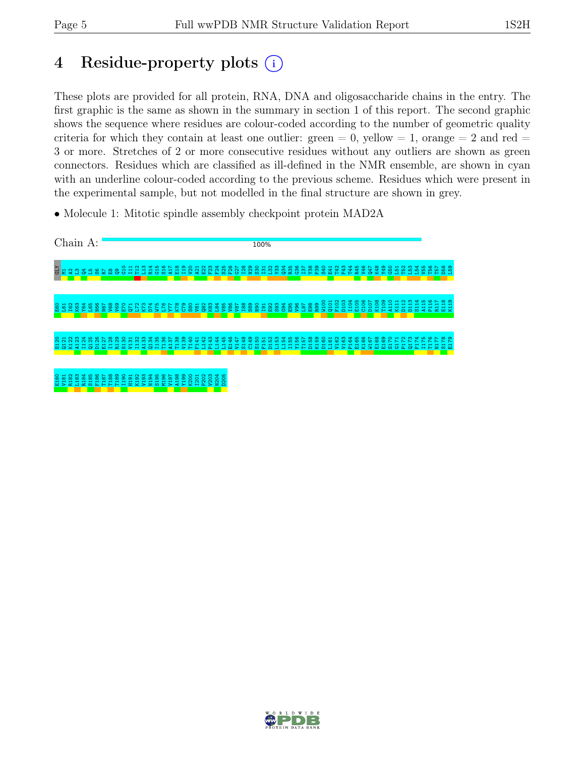## 4 Residue-property plots (i)

These plots are provided for all protein, RNA, DNA and oligosaccharide chains in the entry. The first graphic is the same as shown in the summary in section 1 of this report. The second graphic shows the sequence where residues are colour-coded according to the number of geometric quality criteria for which they contain at least one outlier: green  $= 0$ , yellow  $= 1$ , orange  $= 2$  and red  $=$ 3 or more. Stretches of 2 or more consecutive residues without any outliers are shown as green connectors. Residues which are classified as ill-defined in the NMR ensemble, are shown in cyan with an underline colour-coded according to the previous scheme. Residues which were present in the experimental sample, but not modelled in the final structure are shown in grey.

• Molecule 1: Mitotic spindle assembly checkpoint protein MAD2A



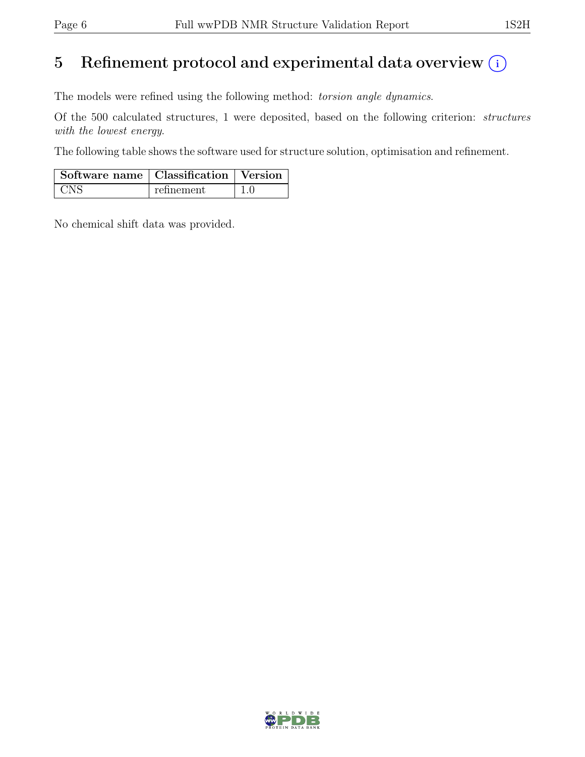## 5 Refinement protocol and experimental data overview  $(i)$

The models were refined using the following method: torsion angle dynamics.

Of the 500 calculated structures, 1 were deposited, based on the following criterion: structures with the lowest energy.

The following table shows the software used for structure solution, optimisation and refinement.

| Software name   Classification   Version |            |  |
|------------------------------------------|------------|--|
| + CNS                                    | refinement |  |

No chemical shift data was provided.

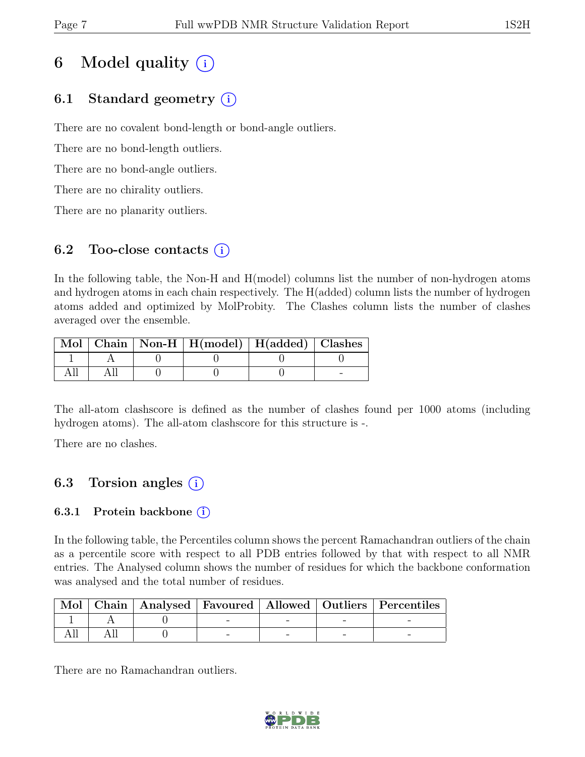## 6 Model quality  $(i)$

## 6.1 Standard geometry (i)

There are no covalent bond-length or bond-angle outliers.

There are no bond-length outliers.

There are no bond-angle outliers.

There are no chirality outliers.

There are no planarity outliers.

### 6.2 Too-close contacts  $(i)$

In the following table, the Non-H and H(model) columns list the number of non-hydrogen atoms and hydrogen atoms in each chain respectively. The H(added) column lists the number of hydrogen atoms added and optimized by MolProbity. The Clashes column lists the number of clashes averaged over the ensemble.

|  | Mol   Chain   Non-H   H(model)   H(added)   Clashes |  |
|--|-----------------------------------------------------|--|
|  |                                                     |  |
|  |                                                     |  |

The all-atom clashscore is defined as the number of clashes found per 1000 atoms (including hydrogen atoms). The all-atom clashscore for this structure is -.

There are no clashes.

### 6.3 Torsion angles  $(i)$

### 6.3.1 Protein backbone  $(i)$

In the following table, the Percentiles column shows the percent Ramachandran outliers of the chain as a percentile score with respect to all PDB entries followed by that with respect to all NMR entries. The Analysed column shows the number of residues for which the backbone conformation was analysed and the total number of residues.

| Mol |  |  | Chain   Analysed   Favoured   Allowed   Outliers   Percentiles |
|-----|--|--|----------------------------------------------------------------|
|     |  |  |                                                                |
|     |  |  |                                                                |

There are no Ramachandran outliers.

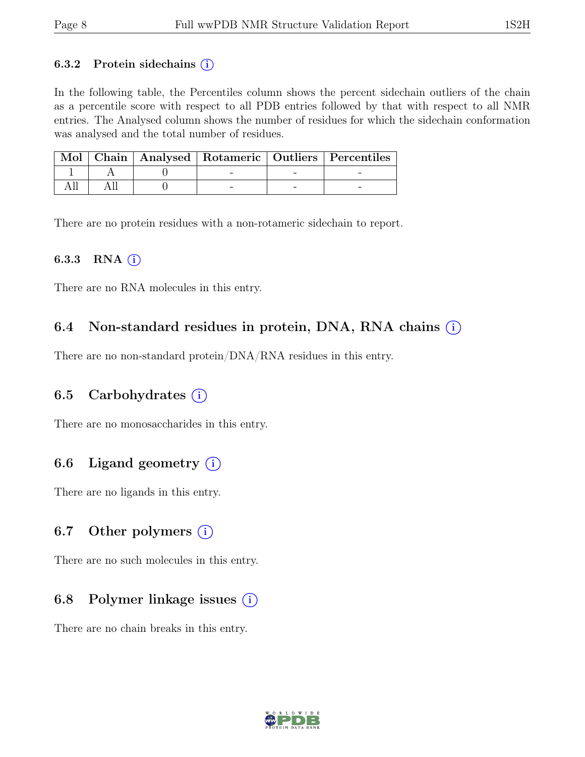#### 6.3.2 Protein sidechains  $(i)$

In the following table, the Percentiles column shows the percent sidechain outliers of the chain as a percentile score with respect to all PDB entries followed by that with respect to all NMR entries. The Analysed column shows the number of residues for which the sidechain conformation was analysed and the total number of residues.

|  |  | Mol   Chain   Analysed   Rotameric   Outliers   Percentiles |
|--|--|-------------------------------------------------------------|
|  |  |                                                             |
|  |  |                                                             |

There are no protein residues with a non-rotameric sidechain to report.

#### 6.3.3 RNA  $(i)$

There are no RNA molecules in this entry.

### 6.4 Non-standard residues in protein, DNA, RNA chains  $(i)$

There are no non-standard protein/DNA/RNA residues in this entry.

### 6.5 Carbohydrates  $(i)$

There are no monosaccharides in this entry.

### 6.6 Ligand geometry  $(i)$

There are no ligands in this entry.

#### 6.7 Other polymers  $(i)$

There are no such molecules in this entry.

### 6.8 Polymer linkage issues  $(i)$

There are no chain breaks in this entry.